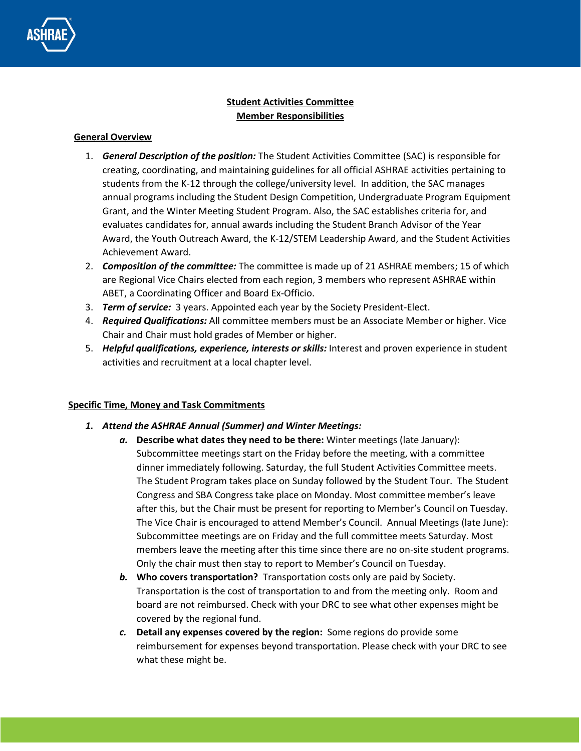

# **Student Activities Committee Member Responsibilities**

#### **General Overview**

- 1. *General Description of the position:* The Student Activities Committee (SAC) is responsible for creating, coordinating, and maintaining guidelines for all official ASHRAE activities pertaining to students from the K-12 through the college/university level. In addition, the SAC manages annual programs including the Student Design Competition, Undergraduate Program Equipment Grant, and the Winter Meeting Student Program. Also, the SAC establishes criteria for, and evaluates candidates for, annual awards including the Student Branch Advisor of the Year Award, the Youth Outreach Award, the K-12/STEM Leadership Award, and the Student Activities Achievement Award.
- 2. *Composition of the committee:* The committee is made up of 21 ASHRAE members; 15 of which are Regional Vice Chairs elected from each region, 3 members who represent ASHRAE within ABET, a Coordinating Officer and Board Ex-Officio.
- 3. *Term of service:* 3 years. Appointed each year by the Society President-Elect.
- 4. *Required Qualifications:* All committee members must be an Associate Member or higher. Vice Chair and Chair must hold grades of Member or higher.
- 5. *Helpful qualifications, experience, interests or skills:* Interest and proven experience in student activities and recruitment at a local chapter level.

# **Specific Time, Money and Task Commitments**

- *1. Attend the ASHRAE Annual (Summer) and Winter Meetings:*
	- *a.* **Describe what dates they need to be there:** Winter meetings (late January): Subcommittee meetings start on the Friday before the meeting, with a committee dinner immediately following. Saturday, the full Student Activities Committee meets. The Student Program takes place on Sunday followed by the Student Tour. The Student Congress and SBA Congress take place on Monday. Most committee member's leave after this, but the Chair must be present for reporting to Member's Council on Tuesday. The Vice Chair is encouraged to attend Member's Council. Annual Meetings (late June): Subcommittee meetings are on Friday and the full committee meets Saturday. Most members leave the meeting after this time since there are no on-site student programs. Only the chair must then stay to report to Member's Council on Tuesday.
	- *b.* **Who covers transportation?** Transportation costs only are paid by Society. Transportation is the cost of transportation to and from the meeting only. Room and board are not reimbursed. Check with your DRC to see what other expenses might be covered by the regional fund.
	- *c.* **Detail any expenses covered by the region:** Some regions do provide some reimbursement for expenses beyond transportation. Please check with your DRC to see what these might be.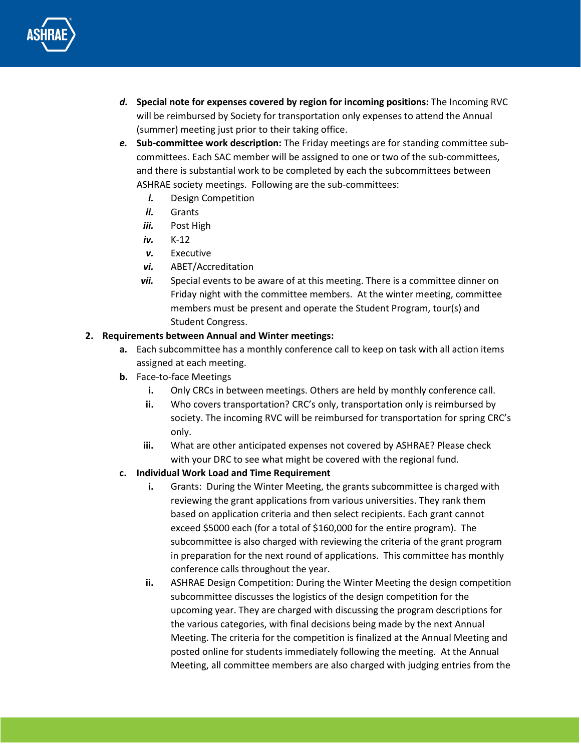

- *d.* **Special note for expenses covered by region for incoming positions:** The Incoming RVC will be reimbursed by Society for transportation only expenses to attend the Annual (summer) meeting just prior to their taking office.
- *e.* **Sub-committee work description:** The Friday meetings are for standing committee subcommittees. Each SAC member will be assigned to one or two of the sub-committees, and there is substantial work to be completed by each the subcommittees between ASHRAE society meetings. Following are the sub-committees:
	- *i.* Design Competition
	- *ii.* Grants
	- *iii.* Post High
	- *iv.* K-12
	- *v.* Executive
	- *vi.* ABET/Accreditation
	- *vii.* Special events to be aware of at this meeting. There is a committee dinner on Friday night with the committee members. At the winter meeting, committee members must be present and operate the Student Program, tour(s) and Student Congress.

# **2. Requirements between Annual and Winter meetings:**

- **a.** Each subcommittee has a monthly conference call to keep on task with all action items assigned at each meeting.
- **b.** Face-to-face Meetings
	- **i.** Only CRCs in between meetings. Others are held by monthly conference call.
	- **ii.** Who covers transportation? CRC's only, transportation only is reimbursed by society. The incoming RVC will be reimbursed for transportation for spring CRC's only.
	- **iii.** What are other anticipated expenses not covered by ASHRAE? Please check with your DRC to see what might be covered with the regional fund.
- **c. Individual Work Load and Time Requirement**
	- **i.** Grants: During the Winter Meeting, the grants subcommittee is charged with reviewing the grant applications from various universities. They rank them based on application criteria and then select recipients. Each grant cannot exceed \$5000 each (for a total of \$160,000 for the entire program). The subcommittee is also charged with reviewing the criteria of the grant program in preparation for the next round of applications. This committee has monthly conference calls throughout the year.
	- **ii.** ASHRAE Design Competition: During the Winter Meeting the design competition subcommittee discusses the logistics of the design competition for the upcoming year. They are charged with discussing the program descriptions for the various categories, with final decisions being made by the next Annual Meeting. The criteria for the competition is finalized at the Annual Meeting and posted online for students immediately following the meeting. At the Annual Meeting, all committee members are also charged with judging entries from the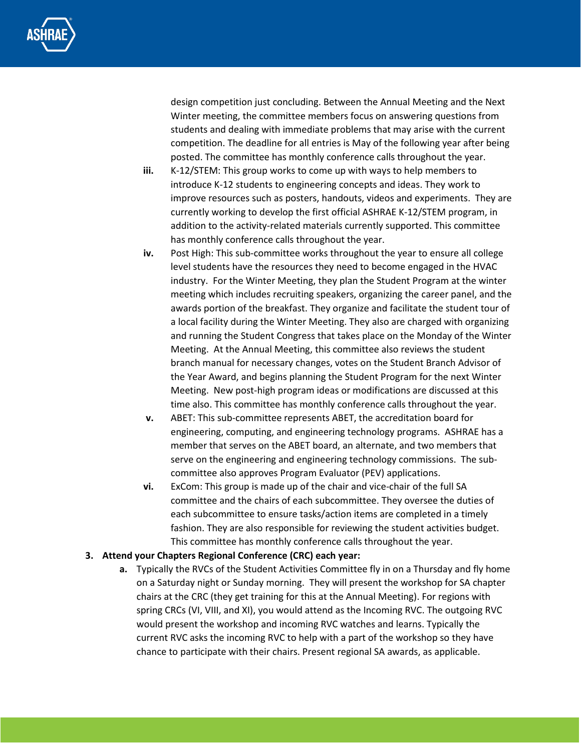

design competition just concluding. Between the Annual Meeting and the Next Winter meeting, the committee members focus on answering questions from students and dealing with immediate problems that may arise with the current competition. The deadline for all entries is May of the following year after being posted. The committee has monthly conference calls throughout the year.

- **iii.** K-12/STEM: This group works to come up with ways to help members to introduce K-12 students to engineering concepts and ideas. They work to improve resources such as posters, handouts, videos and experiments. They are currently working to develop the first official ASHRAE K-12/STEM program, in addition to the activity-related materials currently supported. This committee has monthly conference calls throughout the year.
- **iv.** Post High: This sub-committee works throughout the year to ensure all college level students have the resources they need to become engaged in the HVAC industry. For the Winter Meeting, they plan the Student Program at the winter meeting which includes recruiting speakers, organizing the career panel, and the awards portion of the breakfast. They organize and facilitate the student tour of a local facility during the Winter Meeting. They also are charged with organizing and running the Student Congress that takes place on the Monday of the Winter Meeting. At the Annual Meeting, this committee also reviews the student branch manual for necessary changes, votes on the Student Branch Advisor of the Year Award, and begins planning the Student Program for the next Winter Meeting. New post-high program ideas or modifications are discussed at this time also. This committee has monthly conference calls throughout the year.
- **v.** ABET: This sub-committee represents ABET, the accreditation board for engineering, computing, and engineering technology programs. ASHRAE has a member that serves on the ABET board, an alternate, and two members that serve on the engineering and engineering technology commissions. The subcommittee also approves Program Evaluator (PEV) applications.
- **vi.** ExCom: This group is made up of the chair and vice-chair of the full SA committee and the chairs of each subcommittee. They oversee the duties of each subcommittee to ensure tasks/action items are completed in a timely fashion. They are also responsible for reviewing the student activities budget. This committee has monthly conference calls throughout the year.

#### **3. Attend your Chapters Regional Conference (CRC) each year:**

**a.** Typically the RVCs of the Student Activities Committee fly in on a Thursday and fly home on a Saturday night or Sunday morning. They will present the workshop for SA chapter chairs at the CRC (they get training for this at the Annual Meeting). For regions with spring CRCs (VI, VIII, and XI), you would attend as the Incoming RVC. The outgoing RVC would present the workshop and incoming RVC watches and learns. Typically the current RVC asks the incoming RVC to help with a part of the workshop so they have chance to participate with their chairs. Present regional SA awards, as applicable.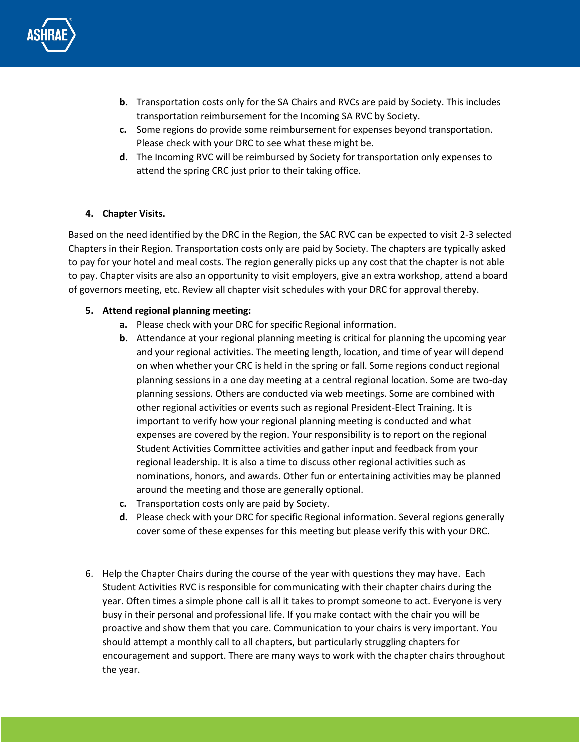

- **b.** Transportation costs only for the SA Chairs and RVCs are paid by Society. This includes transportation reimbursement for the Incoming SA RVC by Society.
- **c.** Some regions do provide some reimbursement for expenses beyond transportation. Please check with your DRC to see what these might be.
- **d.** The Incoming RVC will be reimbursed by Society for transportation only expenses to attend the spring CRC just prior to their taking office.

### **4. Chapter Visits.**

Based on the need identified by the DRC in the Region, the SAC RVC can be expected to visit 2-3 selected Chapters in their Region. Transportation costs only are paid by Society. The chapters are typically asked to pay for your hotel and meal costs. The region generally picks up any cost that the chapter is not able to pay. Chapter visits are also an opportunity to visit employers, give an extra workshop, attend a board of governors meeting, etc. Review all chapter visit schedules with your DRC for approval thereby.

### **5. Attend regional planning meeting:**

- **a.** Please check with your DRC for specific Regional information.
- **b.** Attendance at your regional planning meeting is critical for planning the upcoming year and your regional activities. The meeting length, location, and time of year will depend on when whether your CRC is held in the spring or fall. Some regions conduct regional planning sessions in a one day meeting at a central regional location. Some are two-day planning sessions. Others are conducted via web meetings. Some are combined with other regional activities or events such as regional President-Elect Training. It is important to verify how your regional planning meeting is conducted and what expenses are covered by the region. Your responsibility is to report on the regional Student Activities Committee activities and gather input and feedback from your regional leadership. It is also a time to discuss other regional activities such as nominations, honors, and awards. Other fun or entertaining activities may be planned around the meeting and those are generally optional.
- **c.** Transportation costs only are paid by Society.
- **d.** Please check with your DRC for specific Regional information. Several regions generally cover some of these expenses for this meeting but please verify this with your DRC.
- 6. Help the Chapter Chairs during the course of the year with questions they may have. Each Student Activities RVC is responsible for communicating with their chapter chairs during the year. Often times a simple phone call is all it takes to prompt someone to act. Everyone is very busy in their personal and professional life. If you make contact with the chair you will be proactive and show them that you care. Communication to your chairs is very important. You should attempt a monthly call to all chapters, but particularly struggling chapters for encouragement and support. There are many ways to work with the chapter chairs throughout the year.